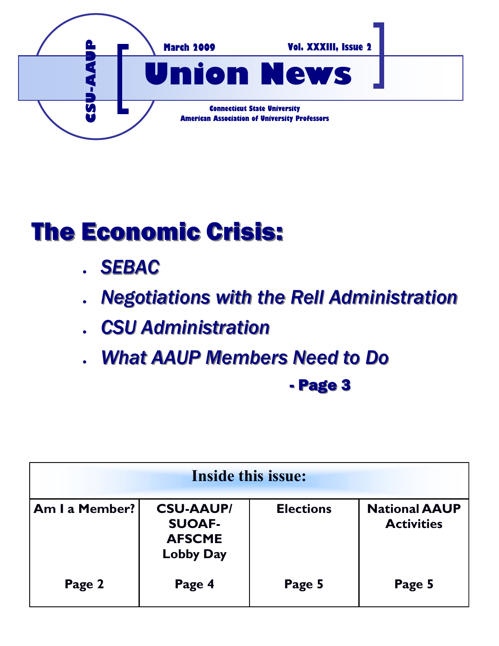

# The Economic Crisis:

- *SEBAC*
- *Negotiations with the Rell Administration*
- *CSU Administration*
- *What AAUP Members Need to Do*

- Page 3

| <b>Inside this issue:</b> |                                                                        |                  |                                           |
|---------------------------|------------------------------------------------------------------------|------------------|-------------------------------------------|
| Am I a Member?            | <b>CSU-AAUP/</b><br><b>SUOAF-</b><br><b>AFSCME</b><br><b>Lobby Day</b> | <b>Elections</b> | <b>National AAUP</b><br><b>Activities</b> |
| Page 2                    | Page 4                                                                 | Page 5           | Page 5                                    |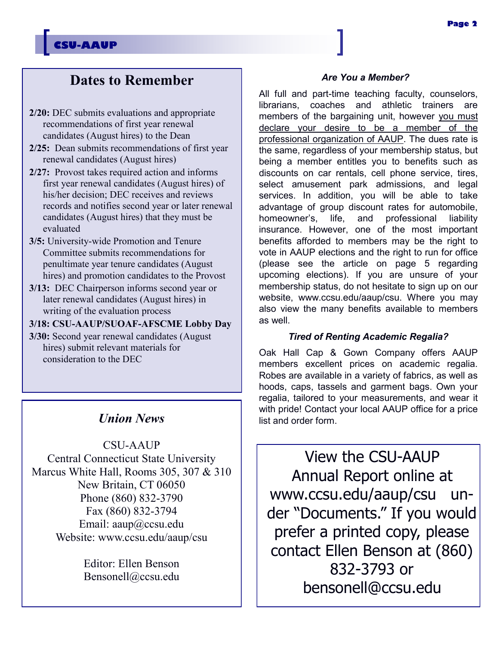### **Page 2**

### **CSU-AAUP**

# **Dates to Remember**

- **2/20:** DEC submits evaluations and appropriate recommendations of first year renewal candidates (August hires) to the Dean
- **2/25:** Dean submits recommendations of first year renewal candidates (August hires)
- **2/27:** Provost takes required action and informs first year renewal candidates (August hires) of his/her decision; DEC receives and reviews records and notifies second year or later renewal candidates (August hires) that they must be evaluated
- **3/5:** University-wide Promotion and Tenure Committee submits recommendations for penultimate year tenure candidates (August hires) and promotion candidates to the Provost
- **3/13:** DEC Chairperson informs second year or later renewal candidates (August hires) in writing of the evaluation process
- **3/18: CSU-AAUP/SUOAF-AFSCME Lobby Day**
- **3/30:** Second year renewal candidates (August hires) submit relevant materials for consideration to the DEC

### *Union News*

CSU-AAUP Central Connecticut State University Marcus White Hall, Rooms 305, 307 & 310 New Britain, CT 06050 Phone (860) 832-3790 Fax (860) 832-3794 Email: aaup@ccsu.edu Website: www.ccsu.edu/aaup/csu

> Editor: Ellen Benson Bensonell@ccsu.edu

### *Are You a Member?*

All full and part-time teaching faculty, counselors, librarians, coaches and athletic trainers are members of the bargaining unit, however you must declare your desire to be a member of the professional organization of AAUP. The dues rate is the same, regardless of your membership status, but being a member entitles you to benefits such as discounts on car rentals, cell phone service, tires, select amusement park admissions, and legal services. In addition, you will be able to take advantage of group discount rates for automobile, homeowner's, life, and professional liability insurance. However, one of the most important benefits afforded to members may be the right to vote in AAUP elections and the right to run for office (please see the article on page 5 regarding upcoming elections). If you are unsure of your membership status, do not hesitate to sign up on our website, www.ccsu.edu/aaup/csu. Where you may also view the many benefits available to members as well.

### *Tired of Renting Academic Regalia?*

Oak Hall Cap & Gown Company offers AAUP members excellent prices on academic regalia. Robes are available in a variety of fabrics, as well as hoods, caps, tassels and garment bags. Own your regalia, tailored to your measurements, and wear it with pride! Contact your local AAUP office for a price list and order form.

View the CSU-AAUP Annual Report online at www.ccsu.edu/aaup/csu under "Documents." If you would prefer a printed copy, please contact Ellen Benson at (860) 832-3793 or bensonell@ccsu.edu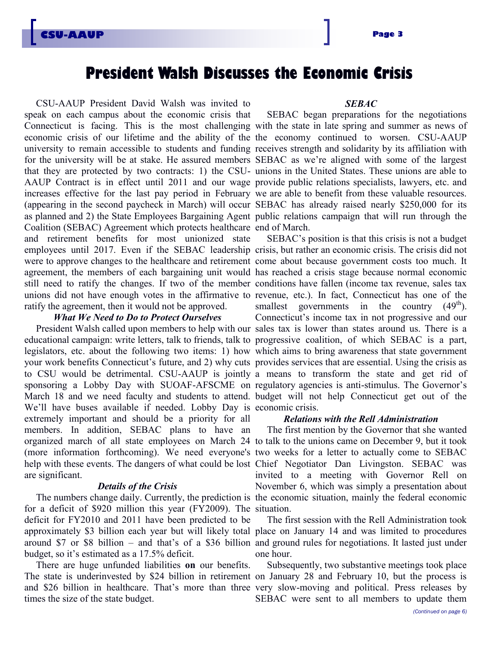# **President Walsh Discusses the Economic Crisis**

CSU-AAUP President David Walsh was invited to speak on each campus about the economic crisis that Connecticut is facing. This is the most challenging with the state in late spring and summer as news of economic crisis of our lifetime and the ability of the the economy continued to worsen. CSU-AAUP university to remain accessible to students and funding receives strength and solidarity by its affiliation with for the university will be at stake. He assured members SEBAC as we're aligned with some of the largest that they are protected by two contracts: 1) the CSU-unions in the United States. These unions are able to AAUP Contract is in effect until 2011 and our wage provide public relations specialists, lawyers, etc. and increases effective for the last pay period in February we are able to benefit from these valuable resources. (appearing in the second paycheck in March) will occur SEBAC has already raised nearly \$250,000 for its as planned and 2) the State Employees Bargaining Agent public relations campaign that will run through the Coalition (SEBAC) Agreement which protects healthcare end of March. and retirement benefits for most unionized state employees until 2017. Even if the SEBAC leadership crisis, but rather an economic crisis. The crisis did not were to approve changes to the healthcare and retirement come about because government costs too much. It agreement, the members of each bargaining unit would has reached a crisis stage because normal economic still need to ratify the changes. If two of the member conditions have fallen (income tax revenue, sales tax unions did not have enough votes in the affirmative to revenue, etc.). In fact, Connecticut has one of the ratify the agreement, then it would not be approved.

### *What We Need to Do to Protect Ourselves*

President Walsh called upon members to help with our sales tax is lower than states around us. There is a educational campaign: write letters, talk to friends, talk to progressive coalition, of which SEBAC is a part, legislators, etc. about the following two items: 1) how which aims to bring awareness that state government your work benefits Connecticut's future, and 2) why cuts provides services that are essential. Using the crisis as to CSU would be detrimental. CSU-AAUP is jointly a means to transform the state and get rid of sponsoring a Lobby Day with SUOAF-AFSCME on regulatory agencies is anti-stimulus. The Governor's March 18 and we need faculty and students to attend. budget will not help Connecticut get out of the We'll have buses available if needed. Lobby Day is economic crisis. extremely important and should be a priority for all members. In addition, SEBAC plans to have an organized march of all state employees on March 24 to talk to the unions came on December 9, but it took (more information forthcoming). We need everyone's two weeks for a letter to actually come to SEBAC help with these events. The dangers of what could be lost Chief Negotiator Dan Livingston. SEBAC was are significant.

### *Details of the Crisis*

The numbers change daily. Currently, the prediction is the economic situation, mainly the federal economic for a deficit of \$920 million this year (FY2009). The situation. deficit for FY2010 and 2011 have been predicted to be approximately \$3 billion each year but will likely total place on January 14 and was limited to procedures around \$7 or \$8 billion – and that's of a \$36 billion and ground rules for negotiations. It lasted just under budget, so it's estimated as a 17.5% deficit.

There are huge unfunded liabilities **on** our benefits. The state is underinvested by \$24 billion in retirement on January 28 and February 10, but the process is and \$26 billion in healthcare. That's more than three very slow-moving and political. Press releases by times the size of the state budget.

### *SEBAC*

SEBAC began preparations for the negotiations

SEBAC's position is that this crisis is not a budget smallest governments in the country  $(49<sup>th</sup>)$ . Connecticut's income tax in not progressive and our

### *Relations with the Rell Administration*

The first mention by the Governor that she wanted invited to a meeting with Governor Rell on November 6, which was simply a presentation about

The first session with the Rell Administration took one hour.

Subsequently, two substantive meetings took place SEBAC were sent to all members to update them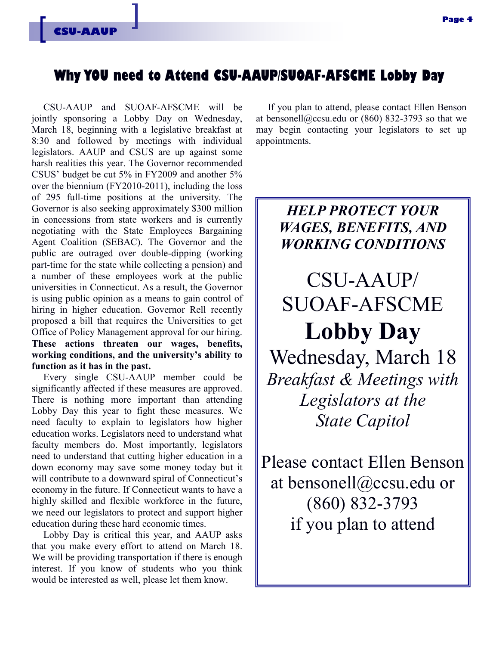### **Why YOU need to Attend CSU-AAUP/SUOAF-AFSCME Lobby Day**

CSU-AAUP and SUOAF-AFSCME will be jointly sponsoring a Lobby Day on Wednesday, March 18, beginning with a legislative breakfast at 8:30 and followed by meetings with individual legislators. AAUP and CSUS are up against some harsh realities this year. The Governor recommended CSUS' budget be cut 5% in FY2009 and another 5% over the biennium (FY2010-2011), including the loss of 295 full-time positions at the university. The Governor is also seeking approximately \$300 million in concessions from state workers and is currently negotiating with the State Employees Bargaining Agent Coalition (SEBAC). The Governor and the public are outraged over double-dipping (working part-time for the state while collecting a pension) and a number of these employees work at the public universities in Connecticut. As a result, the Governor is using public opinion as a means to gain control of hiring in higher education. Governor Rell recently proposed a bill that requires the Universities to get Office of Policy Management approval for our hiring. **These actions threaten our wages, benefits, working conditions, and the university's ability to function as it has in the past.** 

Every single CSU-AAUP member could be significantly affected if these measures are approved. There is nothing more important than attending Lobby Day this year to fight these measures. We need faculty to explain to legislators how higher education works. Legislators need to understand what faculty members do. Most importantly, legislators need to understand that cutting higher education in a down economy may save some money today but it will contribute to a downward spiral of Connecticut's economy in the future. If Connecticut wants to have a highly skilled and flexible workforce in the future, we need our legislators to protect and support higher education during these hard economic times.

Lobby Day is critical this year, and AAUP asks that you make every effort to attend on March 18. We will be providing transportation if there is enough interest. If you know of students who you think would be interested as well, please let them know.

If you plan to attend, please contact Ellen Benson at bensonell@ccsu.edu or (860) 832-3793 so that we may begin contacting your legislators to set up appointments.

# *HELP PROTECT YOUR WAGES, BENEFITS, AND WORKING CONDITIONS*

CSU-AAUP/ SUOAF-AFSCME **Lobby Day**  Wednesday, March 18 *Breakfast & Meetings with Legislators at the State Capitol*

Please contact Ellen Benson at bensonell@ccsu.edu or (860) 832-3793 if you plan to attend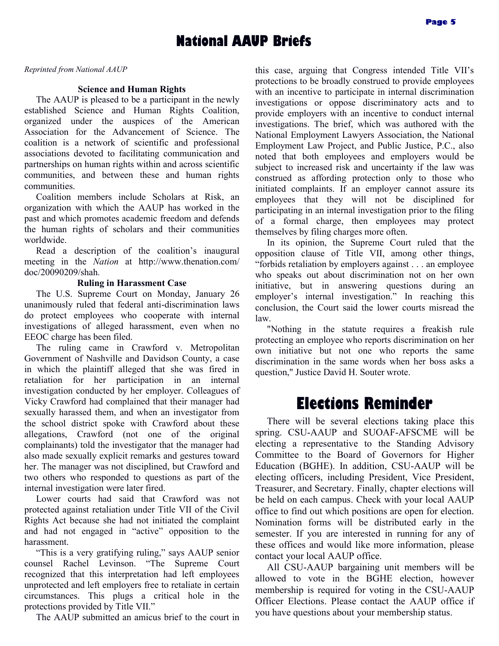## **National AAUP Briefs**

*Reprinted from National AAUP*

### **Science and Human Rights**

The AAUP is pleased to be a participant in the newly established Science and Human Rights Coalition, organized under the auspices of the American Association for the Advancement of Science. The coalition is a network of scientific and professional associations devoted to facilitating communication and partnerships on human rights within and across scientific communities, and between these and human rights communities.

Coalition members include Scholars at Risk, an organization with which the AAUP has worked in the past and which promotes academic freedom and defends the human rights of scholars and their communities worldwide.

Read a description of the coalition's inaugural meeting in the *Nation* at http://www.thenation.com/ doc/20090209/shah*.*

### **Ruling in Harassment Case**

The U.S. Supreme Court on Monday, January 26 unanimously ruled that federal anti-discrimination laws do protect employees who cooperate with internal investigations of alleged harassment, even when no EEOC charge has been filed.

The ruling came in Crawford v. Metropolitan Government of Nashville and Davidson County, a case in which the plaintiff alleged that she was fired in retaliation for her participation in an internal investigation conducted by her employer. Colleagues of Vicky Crawford had complained that their manager had sexually harassed them, and when an investigator from the school district spoke with Crawford about these allegations, Crawford (not one of the original complainants) told the investigator that the manager had also made sexually explicit remarks and gestures toward her. The manager was not disciplined, but Crawford and two others who responded to questions as part of the internal investigation were later fired.

Lower courts had said that Crawford was not protected against retaliation under Title VII of the Civil Rights Act because she had not initiated the complaint and had not engaged in "active" opposition to the harassment.

"This is a very gratifying ruling," says AAUP senior counsel Rachel Levinson. "The Supreme Court recognized that this interpretation had left employees unprotected and left employers free to retaliate in certain circumstances. This plugs a critical hole in the protections provided by Title VII."

The AAUP submitted an amicus brief to the court in

this case, arguing that Congress intended Title VII's protections to be broadly construed to provide employees with an incentive to participate in internal discrimination investigations or oppose discriminatory acts and to provide employers with an incentive to conduct internal investigations. The brief, which was authored with the National Employment Lawyers Association, the National Employment Law Project, and Public Justice, P.C., also noted that both employees and employers would be subject to increased risk and uncertainty if the law was construed as affording protection only to those who initiated complaints. If an employer cannot assure its employees that they will not be disciplined for participating in an internal investigation prior to the filing of a formal charge, then employees may protect themselves by filing charges more often.

In its opinion, the Supreme Court ruled that the opposition clause of Title VII, among other things, "forbids retaliation by employers against . . . an employee who speaks out about discrimination not on her own initiative, but in answering questions during an employer's internal investigation." In reaching this conclusion, the Court said the lower courts misread the law.

"Nothing in the statute requires a freakish rule protecting an employee who reports discrimination on her own initiative but not one who reports the same discrimination in the same words when her boss asks a question," Justice David H. Souter wrote.

# **Elections Reminder**

There will be several elections taking place this spring. CSU-AAUP and SUOAF-AFSCME will be electing a representative to the Standing Advisory Committee to the Board of Governors for Higher Education (BGHE). In addition, CSU-AAUP will be electing officers, including President, Vice President, Treasurer, and Secretary. Finally, chapter elections will be held on each campus. Check with your local AAUP office to find out which positions are open for election. Nomination forms will be distributed early in the semester. If you are interested in running for any of these offices and would like more information, please contact your local AAUP office.

All CSU-AAUP bargaining unit members will be allowed to vote in the BGHE election, however membership is required for voting in the CSU-AAUP Officer Elections. Please contact the AAUP office if you have questions about your membership status.